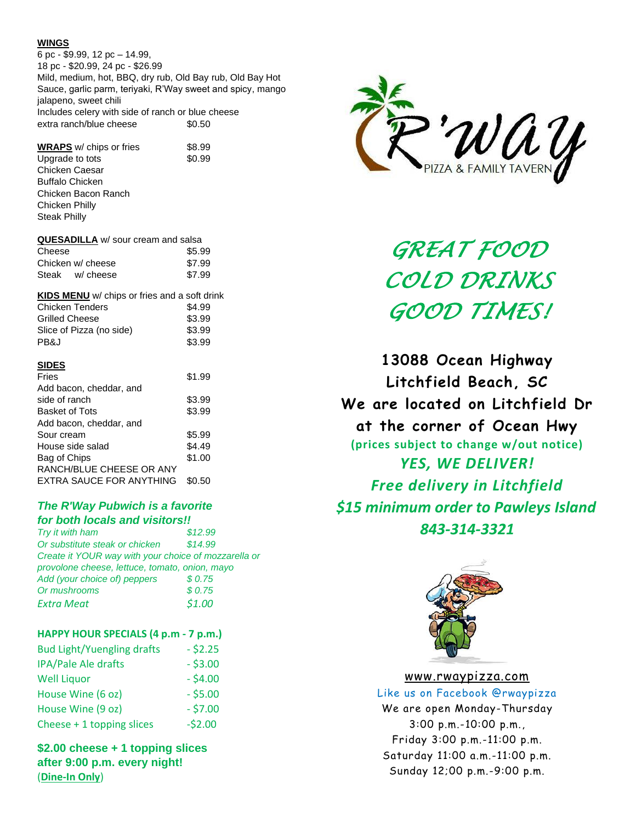#### **WINGS**

6 pc - \$9.99, 12 pc – 14.99, 18 pc - \$20.99, 24 pc - \$26.99 Mild, medium, hot, BBQ, dry rub, Old Bay rub, Old Bay Hot Sauce, garlic parm, teriyaki, R'Way sweet and spicy, mango jalapeno, sweet chili Includes celery with side of ranch or blue cheese extra ranch/blue cheese  $$0.50$ 

**WRAPS** w/ chips or fries \$8.99 Upgrade to tots \$0.99 Chicken Caesar Buffalo Chicken Chicken Bacon Ranch Chicken Philly Steak Philly

| <b>QUESADILLA</b> w/ sour cream and salsa |        |
|-------------------------------------------|--------|
| Cheese                                    | \$5.99 |
| Chicken w/ cheese                         | \$7.99 |
| Steak w/ cheese                           | \$7.99 |

| <b>KIDS MENU</b> w/ chips or fries and a soft drink |        |
|-----------------------------------------------------|--------|
| <b>Chicken Tenders</b>                              | \$4.99 |
| Grilled Cheese                                      | \$3.99 |
| Slice of Pizza (no side)                            | \$3.99 |
| PB&J                                                | \$3.99 |
|                                                     |        |

## **SIDES**

| Fries                           | \$1.99 |
|---------------------------------|--------|
| Add bacon, cheddar, and         |        |
| side of ranch                   | \$3.99 |
| <b>Basket of Tots</b>           | \$3.99 |
| Add bacon, cheddar, and         |        |
| Sour cream                      | \$5.99 |
| House side salad                | \$4.49 |
| Bag of Chips                    | \$1.00 |
| RANCH/BLUE CHEESE OR ANY        |        |
| <b>EXTRA SAUCE FOR ANYTHING</b> | \$0.50 |

# *The R'Way Pubwich is a favorite for both locals and visitors!!*

*Try it with ham \$12.99 Or substitute steak or chicken \$14.99 Create it YOUR way with your choice of mozzarella or provolone cheese, lettuce, tomato, onion, mayo Add (your choice of) peppers \$ 0.75 Or mushrooms \$ 0.75 Extra Meat \$1.00*

### **HAPPY HOUR SPECIALS (4 p.m - 7 p.m.)**

| <b>Bud Light/Yuengling drafts</b> | $-52.25$   |
|-----------------------------------|------------|
| IPA/Pale Ale drafts               | $-$ \$3.00 |
| <b>Well Liquor</b>                | $- $4.00$  |
| House Wine (6 oz)                 | $-$ \$5.00 |
| House Wine (9 oz)                 | $-57.00$   |
| Cheese + 1 topping slices         | $-52.00$   |

**\$2.00 cheese + 1 topping slices after 9:00 p.m. every night!** (**Dine-In Only**)



*GREAT FOOD COLD DRINKS GOOD TIMES!* 

**13088 Ocean Highway Litchfield Beach, SC We are located on Litchfield Dr at the corner of Ocean Hwy (prices subject to change w/out notice)** *YES, WE DELIVER! Free delivery in Litchfield \$15 minimum order to Pawleys Island 843-314-3321*



### [www.rwaypizza.com](http://www.rwaypizza.com/)

Like us on Facebook @rwaypizza We are open Monday-Thursday 3:00 p.m.-10:00 p.m., Friday 3:00 p.m.-11:00 p.m. Saturday 11:00 a.m.-11:00 p.m. Sunday 12;00 p.m.-9:00 p.m.